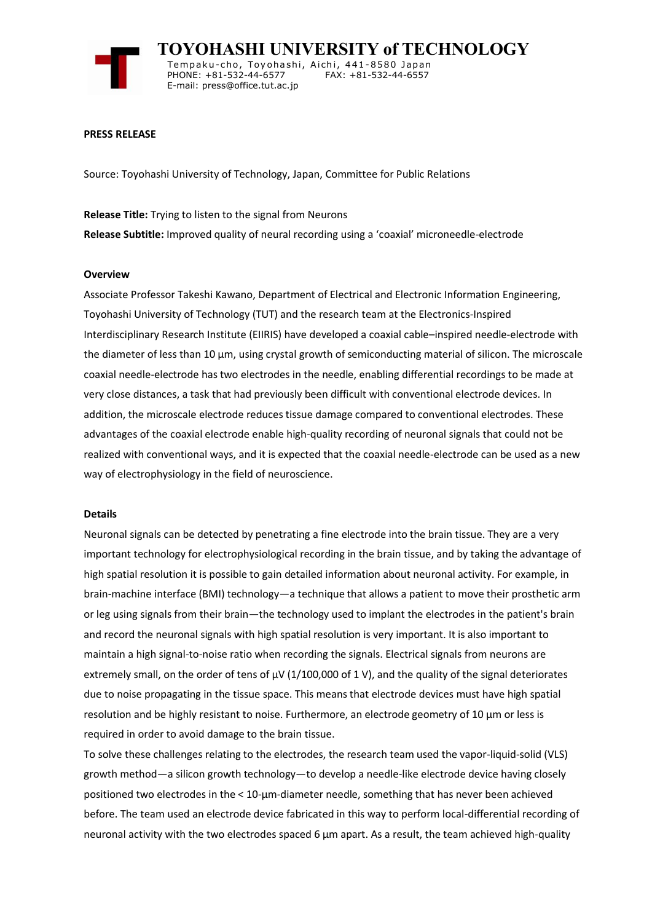

 **TOYOHASHI UNIVERSITY of TECHNOLOGY** Tempaku-cho, Toyohashi, Aichi, 441-8580 Japan<br>PHONE: +81-532-44-6577 FAX: +81-532-44-6557 PHONE: +81-532-44-6577 E-mail: press@office.tut.ac.jp

## **PRESS RELEASE**

Source: Toyohashi University of Technology, Japan, Committee for Public Relations

**Release Title:** Trying to listen to the signal from Neurons **Release Subtitle:** Improved quality of neural recording using a 'coaxial' microneedle-electrode

## **Overview**

Associate Professor Takeshi Kawano, Department of Electrical and Electronic Information Engineering, Toyohashi University of Technology (TUT) and the research team at the Electronics-Inspired Interdisciplinary Research Institute (EIIRIS) have developed a coaxial cable–inspired needle-electrode with the diameter of less than 10 µm, using crystal growth of semiconducting material of silicon. The microscale coaxial needle-electrode has two electrodes in the needle, enabling differential recordings to be made at very close distances, a task that had previously been difficult with conventional electrode devices. In addition, the microscale electrode reduces tissue damage compared to conventional electrodes. These advantages of the coaxial electrode enable high-quality recording of neuronal signals that could not be realized with conventional ways, and it is expected that the coaxial needle-electrode can be used as a new way of electrophysiology in the field of neuroscience.

#### **Details**

Neuronal signals can be detected by penetrating a fine electrode into the brain tissue. They are a very important technology for electrophysiological recording in the brain tissue, and by taking the advantage of high spatial resolution it is possible to gain detailed information about neuronal activity. For example, in brain-machine interface (BMI) technology—a technique that allows a patient to move their prosthetic arm or leg using signals from their brain—the technology used to implant the electrodes in the patient's brain and record the neuronal signals with high spatial resolution is very important. It is also important to maintain a high signal-to-noise ratio when recording the signals. Electrical signals from neurons are extremely small, on the order of tens of  $\mu$ V (1/100,000 of 1 V), and the quality of the signal deteriorates due to noise propagating in the tissue space. This means that electrode devices must have high spatial resolution and be highly resistant to noise. Furthermore, an electrode geometry of 10 µm or less is required in order to avoid damage to the brain tissue.

To solve these challenges relating to the electrodes, the research team used the vapor-liquid-solid (VLS) growth method—a silicon growth technology—to develop a needle-like electrode device having closely positioned two electrodes in the < 10-µm-diameter needle, something that has never been achieved before. The team used an electrode device fabricated in this way to perform local-differential recording of neuronal activity with the two electrodes spaced 6  $\mu$ m apart. As a result, the team achieved high-quality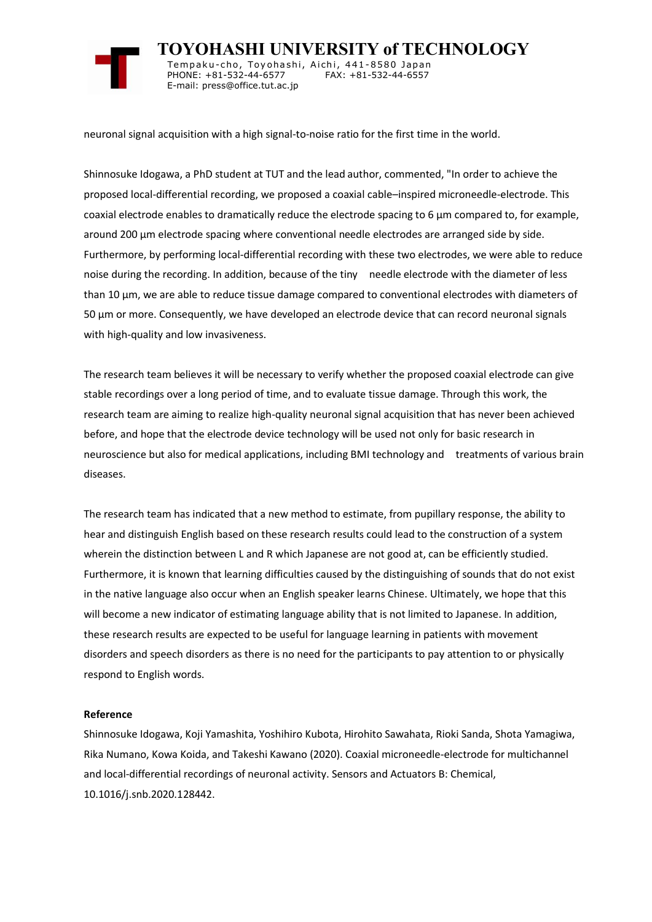

 **TOYOHASHI UNIVERSITY of TECHNOLOGY** Tempaku-cho, Toyohashi, Aichi, 441-8580 Japan<br>PHONE: +81-532-44-6577 FAX: +81-532-44-6557 PHONE: +81-532-44-6577 E-mail: press@office.tut.ac.jp

neuronal signal acquisition with a high signal-to-noise ratio for the first time in the world.

Shinnosuke Idogawa, a PhD student at TUT and the lead author, commented, "In order to achieve the proposed local-differential recording, we proposed a coaxial cable–inspired microneedle-electrode. This coaxial electrode enables to dramatically reduce the electrode spacing to 6 um compared to, for example, around 200 µm electrode spacing where conventional needle electrodes are arranged side by side. Furthermore, by performing local-differential recording with these two electrodes, we were able to reduce noise during the recording. In addition, because of the tiny needle electrode with the diameter of less than 10 µm, we are able to reduce tissue damage compared to conventional electrodes with diameters of 50 µm or more. Consequently, we have developed an electrode device that can record neuronal signals with high-quality and low invasiveness.

The research team believes it will be necessary to verify whether the proposed coaxial electrode can give stable recordings over a long period of time, and to evaluate tissue damage. Through this work, the research team are aiming to realize high-quality neuronal signal acquisition that has never been achieved before, and hope that the electrode device technology will be used not only for basic research in neuroscience but also for medical applications, including BMI technology and treatments of various brain diseases.

The research team has indicated that a new method to estimate, from pupillary response, the ability to hear and distinguish English based on these research results could lead to the construction of a system wherein the distinction between L and R which Japanese are not good at, can be efficiently studied. Furthermore, it is known that learning difficulties caused by the distinguishing of sounds that do not exist in the native language also occur when an English speaker learns Chinese. Ultimately, we hope that this will become a new indicator of estimating language ability that is not limited to Japanese. In addition, these research results are expected to be useful for language learning in patients with movement disorders and speech disorders as there is no need for the participants to pay attention to or physically respond to English words.

## **Reference**

Shinnosuke Idogawa, Koji Yamashita, Yoshihiro Kubota, Hirohito Sawahata, Rioki Sanda, Shota Yamagiwa, Rika Numano, Kowa Koida, and Takeshi Kawano (2020). Coaxial microneedle-electrode for multichannel and local-differential recordings of neuronal activity. Sensors and Actuators B: Chemical, 10.1016/j.snb.2020.128442.